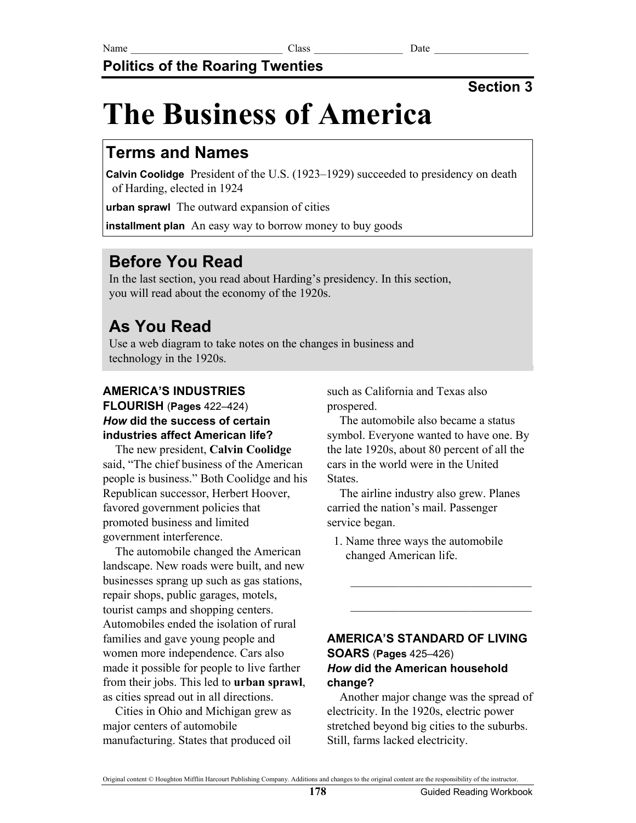**Politics of the Roaring Twenties**

## **Section 3**

# **The Business of America**

## **Terms and Names**

**Calvin Coolidge** President of the U.S. (1923–1929) succeeded to presidency on death of Harding, elected in 1924

**urban sprawl** The outward expansion of cities

**installment plan** An easy way to borrow money to buy goods

## **Before You Read**

In the last section, you read about Harding's presidency. In this section, you will read about the economy of the 1920s.

# **As You Read**

Use a web diagram to take notes on the changes in business and technology in the 1920s.

### **AMERICA'S INDUSTRIES**

**FLOURISH** (**Pages** 422–424) *How* **did the success of certain industries affect American life?** 

The new president, **Calvin Coolidge** said, "The chief business of the American people is business." Both Coolidge and his Republican successor, Herbert Hoover, favored government policies that promoted business and limited government interference.

The automobile changed the American landscape. New roads were built, and new businesses sprang up such as gas stations, repair shops, public garages, motels, tourist camps and shopping centers. Automobiles ended the isolation of rural families and gave young people and women more independence. Cars also made it possible for people to live farther from their jobs. This led to **urban sprawl**, as cities spread out in all directions.

Cities in Ohio and Michigan grew as major centers of automobile manufacturing. States that produced oil such as California and Texas also prospered.

The automobile also became a status symbol. Everyone wanted to have one. By the late 1920s, about 80 percent of all the cars in the world were in the United **States**.

The airline industry also grew. Planes carried the nation's mail. Passenger service began.

 1. Name three ways the automobile changed American life.

 $\mathcal{L}_\text{max}$ 

 $\mathcal{L}_\text{max}$ 

#### **AMERICA'S STANDARD OF LIVING SOARS** (**Pages** 425–426) *How* **did the American household change?**

Another major change was the spread of electricity. In the 1920s, electric power stretched beyond big cities to the suburbs. Still, farms lacked electricity.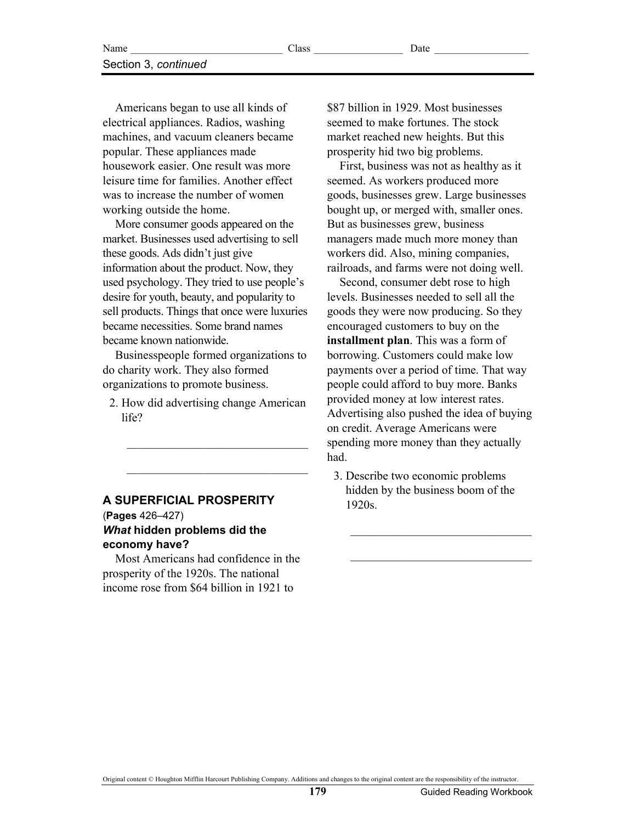Americans began to use all kinds of electrical appliances. Radios, washing machines, and vacuum cleaners became popular. These appliances made housework easier. One result was more leisure time for families. Another effect was to increase the number of women working outside the home.

More consumer goods appeared on the market. Businesses used advertising to sell these goods. Ads didn't just give information about the product. Now, they used psychology. They tried to use people's desire for youth, beauty, and popularity to sell products. Things that once were luxuries became necessities. Some brand names became known nationwide.

Businesspeople formed organizations to do charity work. They also formed organizations to promote business.

 2. How did advertising change American life?

 $\mathcal{L}_\text{max}$ 

 $\mathcal{L}_\text{max}$ 

#### **A SUPERFICIAL PROSPERITY**  (**Pages** 426–427) *What* **hidden problems did the economy have?**

Most Americans had confidence in the prosperity of the 1920s. The national income rose from \$64 billion in 1921 to

\$87 billion in 1929. Most businesses seemed to make fortunes. The stock market reached new heights. But this prosperity hid two big problems.

First, business was not as healthy as it seemed. As workers produced more goods, businesses grew. Large businesses bought up, or merged with, smaller ones. But as businesses grew, business managers made much more money than workers did. Also, mining companies, railroads, and farms were not doing well.

Second, consumer debt rose to high levels. Businesses needed to sell all the goods they were now producing. So they encouraged customers to buy on the **installment plan**. This was a form of borrowing. Customers could make low payments over a period of time. That way people could afford to buy more. Banks provided money at low interest rates. Advertising also pushed the idea of buying on credit. Average Americans were spending more money than they actually had.

 3. Describe two economic problems hidden by the business boom of the 1920s.

 $\mathcal{L}_\text{max}$ 

 $\mathcal{L}_\text{max}$ 

Original content © Houghton Mifflin Harcourt Publishing Company. Additions and changes to the original content are the responsibility of the instructor.